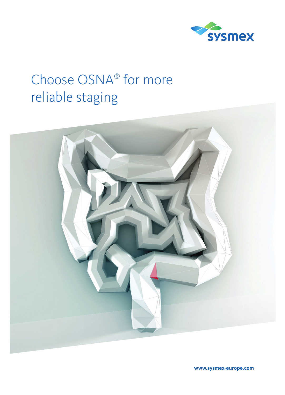

# Choose OSNA® for more reliable staging